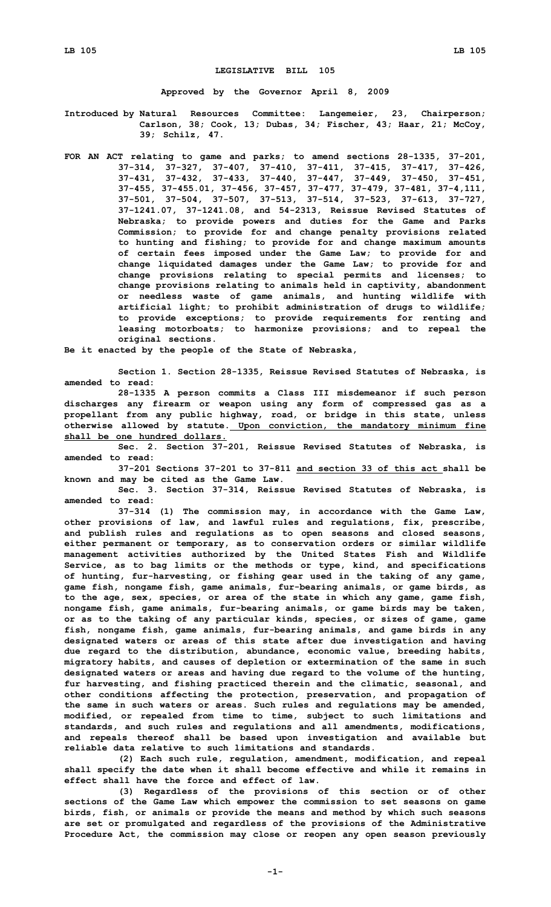## **LEGISLATIVE BILL 105**

**Approved by the Governor April 8, 2009**

**Introduced by Natural Resources Committee: Langemeier, 23, Chairperson; Carlson, 38; Cook, 13; Dubas, 34; Fischer, 43; Haar, 21; McCoy, 39; Schilz, 47.**

**FOR AN ACT relating to game and parks; to amend sections 28-1335, 37-201, 37-314, 37-327, 37-407, 37-410, 37-411, 37-415, 37-417, 37-426, 37-431, 37-432, 37-433, 37-440, 37-447, 37-449, 37-450, 37-451, 37-455, 37-455.01, 37-456, 37-457, 37-477, 37-479, 37-481, 37-4,111, 37-501, 37-504, 37-507, 37-513, 37-514, 37-523, 37-613, 37-727, 37-1241.07, 37-1241.08, and 54-2313, Reissue Revised Statutes of Nebraska; to provide powers and duties for the Game and Parks Commission; to provide for and change penalty provisions related to hunting and fishing; to provide for and change maximum amounts of certain fees imposed under the Game Law; to provide for and change liquidated damages under the Game Law; to provide for and change provisions relating to special permits and licenses; to change provisions relating to animals held in captivity, abandonment or needless waste of game animals, and hunting wildlife with artificial light; to prohibit administration of drugs to wildlife; to provide exceptions; to provide requirements for renting and leasing motorboats; to harmonize provisions; and to repeal the original sections.**

**Be it enacted by the people of the State of Nebraska,**

**Section 1. Section 28-1335, Reissue Revised Statutes of Nebraska, is amended to read:**

**28-1335 <sup>A</sup> person commits <sup>a</sup> Class III misdemeanor if such person discharges any firearm or weapon using any form of compressed gas as <sup>a</sup> propellant from any public highway, road, or bridge in this state, unless otherwise allowed by statute. Upon conviction, the mandatory minimum fine shall be one hundred dollars.**

**Sec. 2. Section 37-201, Reissue Revised Statutes of Nebraska, is amended to read:**

**37-201 Sections 37-201 to 37-811 and section 33 of this act shall be known and may be cited as the Game Law.**

**Sec. 3. Section 37-314, Reissue Revised Statutes of Nebraska, is amended to read:**

**37-314 (1) The commission may, in accordance with the Game Law, other provisions of law, and lawful rules and regulations, fix, prescribe, and publish rules and regulations as to open seasons and closed seasons, either permanent or temporary, as to conservation orders or similar wildlife management activities authorized by the United States Fish and Wildlife Service, as to bag limits or the methods or type, kind, and specifications of hunting, fur-harvesting, or fishing gear used in the taking of any game, game fish, nongame fish, game animals, fur-bearing animals, or game birds, as to the age, sex, species, or area of the state in which any game, game fish, nongame fish, game animals, fur-bearing animals, or game birds may be taken, or as to the taking of any particular kinds, species, or sizes of game, game fish, nongame fish, game animals, fur-bearing animals, and game birds in any designated waters or areas of this state after due investigation and having due regard to the distribution, abundance, economic value, breeding habits, migratory habits, and causes of depletion or extermination of the same in such designated waters or areas and having due regard to the volume of the hunting, fur harvesting, and fishing practiced therein and the climatic, seasonal, and other conditions affecting the protection, preservation, and propagation of the same in such waters or areas. Such rules and regulations may be amended, modified, or repealed from time to time, subject to such limitations and standards, and such rules and regulations and all amendments, modifications, and repeals thereof shall be based upon investigation and available but reliable data relative to such limitations and standards.**

**(2) Each such rule, regulation, amendment, modification, and repeal shall specify the date when it shall become effective and while it remains in effect shall have the force and effect of law.**

**(3) Regardless of the provisions of this section or of other sections of the Game Law which empower the commission to set seasons on game birds, fish, or animals or provide the means and method by which such seasons are set or promulgated and regardless of the provisions of the Administrative Procedure Act, the commission may close or reopen any open season previously**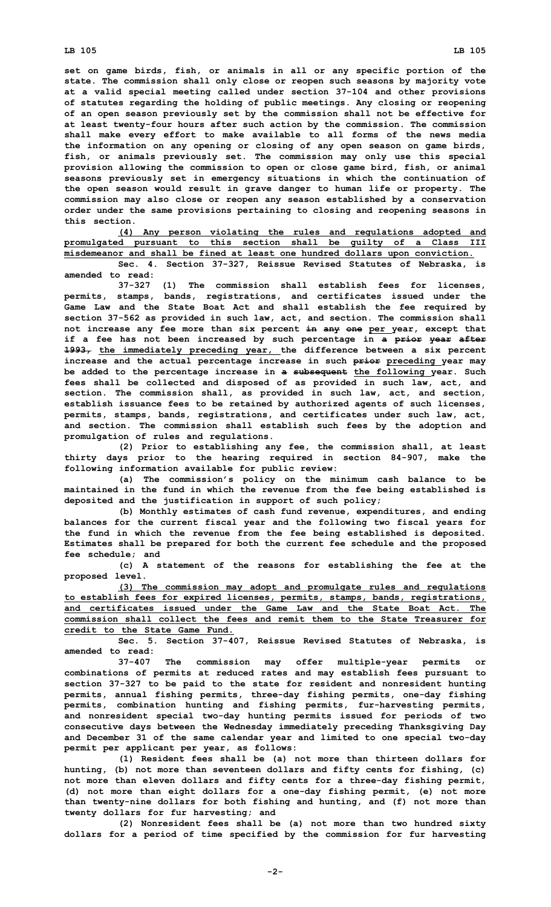**set on game birds, fish, or animals in all or any specific portion of the state. The commission shall only close or reopen such seasons by majority vote at <sup>a</sup> valid special meeting called under section 37-104 and other provisions of statutes regarding the holding of public meetings. Any closing or reopening of an open season previously set by the commission shall not be effective for at least twenty-four hours after such action by the commission. The commission shall make every effort to make available to all forms of the news media the information on any opening or closing of any open season on game birds, fish, or animals previously set. The commission may only use this special provision allowing the commission to open or close game bird, fish, or animal seasons previously set in emergency situations in which the continuation of the open season would result in grave danger to human life or property. The commission may also close or reopen any season established by <sup>a</sup> conservation order under the same provisions pertaining to closing and reopening seasons in this section.**

**(4) Any person violating the rules and regulations adopted and promulgated pursuant to this section shall be guilty of <sup>a</sup> Class III misdemeanor and shall be fined at least one hundred dollars upon conviction.**

**Sec. 4. Section 37-327, Reissue Revised Statutes of Nebraska, is amended to read:**

**37-327 (1) The commission shall establish fees for licenses, permits, stamps, bands, registrations, and certificates issued under the Game Law and the State Boat Act and shall establish the fee required by section 37-562 as provided in such law, act, and section. The commission shall not increase any fee more than six percent in any one per year, except that if <sup>a</sup> fee has not been increased by such percentage in <sup>a</sup> prior year after 1993, the immediately preceding year, the difference between <sup>a</sup> six percent increase and the actual percentage increase in such prior preceding year may be added to the percentage increase in <sup>a</sup> subsequent the following year. Such fees shall be collected and disposed of as provided in such law, act, and section. The commission shall, as provided in such law, act, and section, establish issuance fees to be retained by authorized agents of such licenses, permits, stamps, bands, registrations, and certificates under such law, act, and section. The commission shall establish such fees by the adoption and promulgation of rules and regulations.**

**(2) Prior to establishing any fee, the commission shall, at least thirty days prior to the hearing required in section 84-907, make the following information available for public review:**

**(a) The commission's policy on the minimum cash balance to be maintained in the fund in which the revenue from the fee being established is deposited and the justification in support of such policy;**

**(b) Monthly estimates of cash fund revenue, expenditures, and ending balances for the current fiscal year and the following two fiscal years for the fund in which the revenue from the fee being established is deposited. Estimates shall be prepared for both the current fee schedule and the proposed fee schedule; and**

**(c) <sup>A</sup> statement of the reasons for establishing the fee at the proposed level.**

**(3) The commission may adopt and promulgate rules and regulations to establish fees for expired licenses, permits, stamps, bands, registrations, and certificates issued under the Game Law and the State Boat Act. The commission shall collect the fees and remit them to the State Treasurer for credit to the State Game Fund.**

**Sec. 5. Section 37-407, Reissue Revised Statutes of Nebraska, is amended to read:**

**37-407 The commission may offer multiple-year permits or combinations of permits at reduced rates and may establish fees pursuant to section 37-327 to be paid to the state for resident and nonresident hunting permits, annual fishing permits, three-day fishing permits, one-day fishing permits, combination hunting and fishing permits, fur-harvesting permits, and nonresident special two-day hunting permits issued for periods of two consecutive days between the Wednesday immediately preceding Thanksgiving Day and December 31 of the same calendar year and limited to one special two-day permit per applicant per year, as follows:**

**(1) Resident fees shall be (a) not more than thirteen dollars for hunting, (b) not more than seventeen dollars and fifty cents for fishing, (c) not more than eleven dollars and fifty cents for <sup>a</sup> three-day fishing permit, (d) not more than eight dollars for <sup>a</sup> one-day fishing permit, (e) not more than twenty-nine dollars for both fishing and hunting, and (f) not more than twenty dollars for fur harvesting; and**

**(2) Nonresident fees shall be (a) not more than two hundred sixty dollars for <sup>a</sup> period of time specified by the commission for fur harvesting**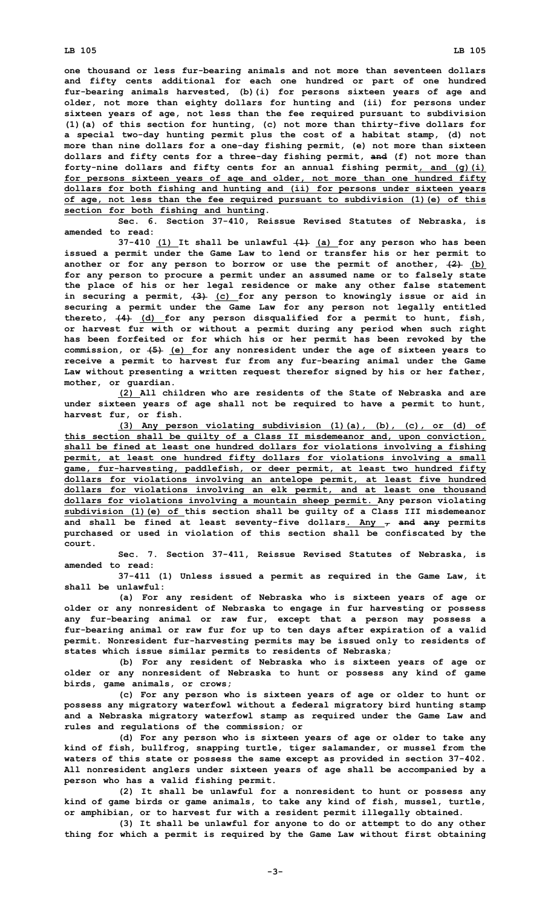**one thousand or less fur-bearing animals and not more than seventeen dollars and fifty cents additional for each one hundred or part of one hundred fur-bearing animals harvested, (b)(i) for persons sixteen years of age and older, not more than eighty dollars for hunting and (ii) for persons under sixteen years of age, not less than the fee required pursuant to subdivision (1)(a) of this section for hunting, (c) not more than thirty-five dollars for <sup>a</sup> special two-day hunting permit plus the cost of <sup>a</sup> habitat stamp, (d) not more than nine dollars for <sup>a</sup> one-day fishing permit, (e) not more than sixteen dollars and fifty cents for <sup>a</sup> three-day fishing permit, and (f) not more than forty-nine dollars and fifty cents for an annual fishing permit, and (g)(i) for persons sixteen years of age and older, not more than one hundred fifty dollars for both fishing and hunting and (ii) for persons under sixteen years of age, not less than the fee required pursuant to subdivision (1)(e) of this section for both fishing and hunting.**

**Sec. 6. Section 37-410, Reissue Revised Statutes of Nebraska, is amended to read:**

**37-410 (1) It shall be unlawful (1) (a) for any person who has been issued <sup>a</sup> permit under the Game Law to lend or transfer his or her permit to another or for any person to borrow or use the permit of another, (2) (b) for any person to procure <sup>a</sup> permit under an assumed name or to falsely state the place of his or her legal residence or make any other false statement in securing <sup>a</sup> permit, (3) (c) for any person to knowingly issue or aid in securing <sup>a</sup> permit under the Game Law for any person not legally entitled thereto, (4) (d) for any person disqualified for <sup>a</sup> permit to hunt, fish, or harvest fur with or without <sup>a</sup> permit during any period when such right has been forfeited or for which his or her permit has been revoked by the commission, or (5) (e) for any nonresident under the age of sixteen years to receive <sup>a</sup> permit to harvest fur from any fur-bearing animal under the Game Law without presenting <sup>a</sup> written request therefor signed by his or her father, mother, or guardian.**

**(2) All children who are residents of the State of Nebraska and are under sixteen years of age shall not be required to have <sup>a</sup> permit to hunt, harvest fur, or fish.**

**(3) Any person violating subdivision (1)(a), (b), (c), or (d) of this section shall be guilty of <sup>a</sup> Class II misdemeanor and, upon conviction, shall be fined at least one hundred dollars for violations involving <sup>a</sup> fishing permit, at least one hundred fifty dollars for violations involving <sup>a</sup> small game, fur-harvesting, paddlefish, or deer permit, at least two hundred fifty dollars for violations involving an antelope permit, at least five hundred dollars for violations involving an elk permit, and at least one thousand dollars for violations involving <sup>a</sup> mountain sheep permit. Any person violating subdivision (1)(e) of this section shall be guilty of <sup>a</sup> Class III misdemeanor and shall be fined at least seventy-five dollars. Any , and any permits purchased or used in violation of this section shall be confiscated by the court.**

**Sec. 7. Section 37-411, Reissue Revised Statutes of Nebraska, is amended to read:**

**37-411 (1) Unless issued <sup>a</sup> permit as required in the Game Law, it shall be unlawful:**

**(a) For any resident of Nebraska who is sixteen years of age or older or any nonresident of Nebraska to engage in fur harvesting or possess any fur-bearing animal or raw fur, except that <sup>a</sup> person may possess <sup>a</sup> fur-bearing animal or raw fur for up to ten days after expiration of <sup>a</sup> valid permit. Nonresident fur-harvesting permits may be issued only to residents of states which issue similar permits to residents of Nebraska;**

**(b) For any resident of Nebraska who is sixteen years of age or older or any nonresident of Nebraska to hunt or possess any kind of game birds, game animals, or crows;**

**(c) For any person who is sixteen years of age or older to hunt or possess any migratory waterfowl without <sup>a</sup> federal migratory bird hunting stamp and <sup>a</sup> Nebraska migratory waterfowl stamp as required under the Game Law and rules and regulations of the commission; or**

**(d) For any person who is sixteen years of age or older to take any kind of fish, bullfrog, snapping turtle, tiger salamander, or mussel from the waters of this state or possess the same except as provided in section 37-402. All nonresident anglers under sixteen years of age shall be accompanied by <sup>a</sup> person who has <sup>a</sup> valid fishing permit.**

**(2) It shall be unlawful for <sup>a</sup> nonresident to hunt or possess any kind of game birds or game animals, to take any kind of fish, mussel, turtle, or amphibian, or to harvest fur with <sup>a</sup> resident permit illegally obtained.**

**(3) It shall be unlawful for anyone to do or attempt to do any other thing for which <sup>a</sup> permit is required by the Game Law without first obtaining**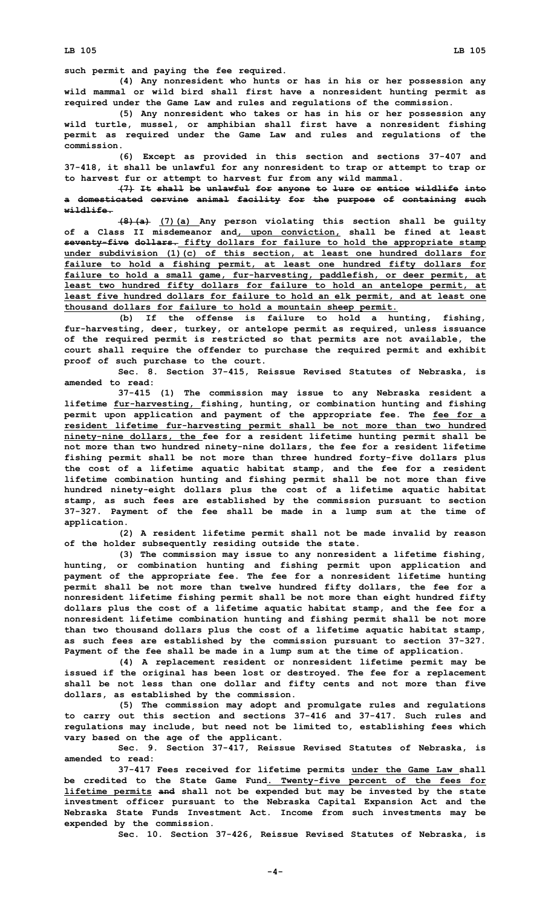**such permit and paying the fee required.**

**(4) Any nonresident who hunts or has in his or her possession any wild mammal or wild bird shall first have <sup>a</sup> nonresident hunting permit as required under the Game Law and rules and regulations of the commission.**

**(5) Any nonresident who takes or has in his or her possession any wild turtle, mussel, or amphibian shall first have <sup>a</sup> nonresident fishing permit as required under the Game Law and rules and regulations of the commission.**

**(6) Except as provided in this section and sections 37-407 and 37-418, it shall be unlawful for any nonresident to trap or attempt to trap or to harvest fur or attempt to harvest fur from any wild mammal.**

**(7) It shall be unlawful for anyone to lure or entice wildlife into <sup>a</sup> domesticated cervine animal facility for the purpose of containing such wildlife.**

**(8)(a) (7)(a) Any person violating this section shall be guilty of <sup>a</sup> Class II misdemeanor and, upon conviction, shall be fined at least seventy-five dollars. fifty dollars for failure to hold the appropriate stamp under subdivision (1)(c) of this section, at least one hundred dollars for failure to hold <sup>a</sup> fishing permit, at least one hundred fifty dollars for failure to hold <sup>a</sup> small game, fur-harvesting, paddlefish, or deer permit, at least two hundred fifty dollars for failure to hold an antelope permit, at least five hundred dollars for failure to hold an elk permit, and at least one thousand dollars for failure to hold <sup>a</sup> mountain sheep permit.**

**(b) If the offense is failure to hold <sup>a</sup> hunting, fishing, fur-harvesting, deer, turkey, or antelope permit as required, unless issuance of the required permit is restricted so that permits are not available, the court shall require the offender to purchase the required permit and exhibit proof of such purchase to the court.**

**Sec. 8. Section 37-415, Reissue Revised Statutes of Nebraska, is amended to read:**

**37-415 (1) The commission may issue to any Nebraska resident <sup>a</sup> lifetime fur-harvesting, fishing, hunting, or combination hunting and fishing permit upon application and payment of the appropriate fee. The fee for <sup>a</sup> resident lifetime fur-harvesting permit shall be not more than two hundred ninety-nine dollars, the fee for <sup>a</sup> resident lifetime hunting permit shall be not more than two hundred ninety-nine dollars, the fee for <sup>a</sup> resident lifetime fishing permit shall be not more than three hundred forty-five dollars plus the cost of <sup>a</sup> lifetime aquatic habitat stamp, and the fee for <sup>a</sup> resident lifetime combination hunting and fishing permit shall be not more than five hundred ninety-eight dollars plus the cost of <sup>a</sup> lifetime aquatic habitat stamp, as such fees are established by the commission pursuant to section 37-327. Payment of the fee shall be made in <sup>a</sup> lump sum at the time of application.**

**(2) <sup>A</sup> resident lifetime permit shall not be made invalid by reason of the holder subsequently residing outside the state.**

**(3) The commission may issue to any nonresident <sup>a</sup> lifetime fishing, hunting, or combination hunting and fishing permit upon application and payment of the appropriate fee. The fee for <sup>a</sup> nonresident lifetime hunting permit shall be not more than twelve hundred fifty dollars, the fee for <sup>a</sup> nonresident lifetime fishing permit shall be not more than eight hundred fifty dollars plus the cost of <sup>a</sup> lifetime aquatic habitat stamp, and the fee for <sup>a</sup> nonresident lifetime combination hunting and fishing permit shall be not more than two thousand dollars plus the cost of <sup>a</sup> lifetime aquatic habitat stamp, as such fees are established by the commission pursuant to section 37-327. Payment of the fee shall be made in <sup>a</sup> lump sum at the time of application.**

**(4) <sup>A</sup> replacement resident or nonresident lifetime permit may be issued if the original has been lost or destroyed. The fee for <sup>a</sup> replacement shall be not less than one dollar and fifty cents and not more than five dollars, as established by the commission.**

**(5) The commission may adopt and promulgate rules and regulations to carry out this section and sections 37-416 and 37-417. Such rules and regulations may include, but need not be limited to, establishing fees which vary based on the age of the applicant.**

**Sec. 9. Section 37-417, Reissue Revised Statutes of Nebraska, is amended to read:**

**37-417 Fees received for lifetime permits under the Game Law shall be credited to the State Game Fund. Twenty-five percent of the fees for lifetime permits and shall not be expended but may be invested by the state investment officer pursuant to the Nebraska Capital Expansion Act and the Nebraska State Funds Investment Act. Income from such investments may be expended by the commission.**

**Sec. 10. Section 37-426, Reissue Revised Statutes of Nebraska, is**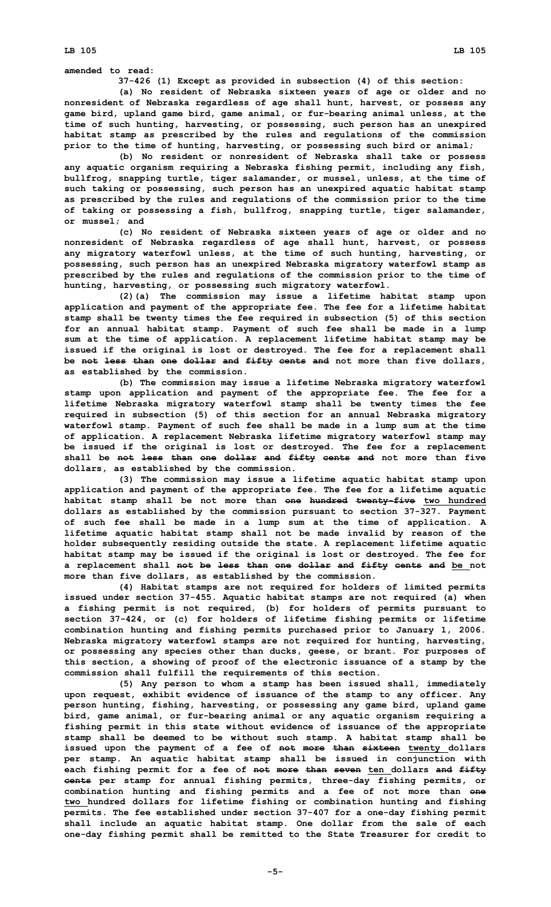**LB 105 LB 105**

**amended to read:**

**37-426 (1) Except as provided in subsection (4) of this section:**

**(a) No resident of Nebraska sixteen years of age or older and no nonresident of Nebraska regardless of age shall hunt, harvest, or possess any game bird, upland game bird, game animal, or fur-bearing animal unless, at the time of such hunting, harvesting, or possessing, such person has an unexpired habitat stamp as prescribed by the rules and regulations of the commission prior to the time of hunting, harvesting, or possessing such bird or animal;**

**(b) No resident or nonresident of Nebraska shall take or possess any aquatic organism requiring <sup>a</sup> Nebraska fishing permit, including any fish, bullfrog, snapping turtle, tiger salamander, or mussel, unless, at the time of such taking or possessing, such person has an unexpired aquatic habitat stamp as prescribed by the rules and regulations of the commission prior to the time of taking or possessing <sup>a</sup> fish, bullfrog, snapping turtle, tiger salamander, or mussel; and**

**(c) No resident of Nebraska sixteen years of age or older and no nonresident of Nebraska regardless of age shall hunt, harvest, or possess any migratory waterfowl unless, at the time of such hunting, harvesting, or possessing, such person has an unexpired Nebraska migratory waterfowl stamp as prescribed by the rules and regulations of the commission prior to the time of hunting, harvesting, or possessing such migratory waterfowl.**

**(2)(a) The commission may issue <sup>a</sup> lifetime habitat stamp upon application and payment of the appropriate fee. The fee for <sup>a</sup> lifetime habitat stamp shall be twenty times the fee required in subsection (5) of this section for an annual habitat stamp. Payment of such fee shall be made in <sup>a</sup> lump sum at the time of application. A replacement lifetime habitat stamp may be issued if the original is lost or destroyed. The fee for <sup>a</sup> replacement shall be not less than one dollar and fifty cents and not more than five dollars, as established by the commission.**

**(b) The commission may issue <sup>a</sup> lifetime Nebraska migratory waterfowl stamp upon application and payment of the appropriate fee. The fee for <sup>a</sup> lifetime Nebraska migratory waterfowl stamp shall be twenty times the fee required in subsection (5) of this section for an annual Nebraska migratory waterfowl stamp. Payment of such fee shall be made in <sup>a</sup> lump sum at the time of application. A replacement Nebraska lifetime migratory waterfowl stamp may be issued if the original is lost or destroyed. The fee for <sup>a</sup> replacement shall be not less than one dollar and fifty cents and not more than five dollars, as established by the commission.**

**(3) The commission may issue <sup>a</sup> lifetime aquatic habitat stamp upon application and payment of the appropriate fee. The fee for <sup>a</sup> lifetime aquatic habitat stamp shall be not more than one hundred twenty-five two hundred dollars as established by the commission pursuant to section 37-327. Payment of such fee shall be made in <sup>a</sup> lump sum at the time of application. A lifetime aquatic habitat stamp shall not be made invalid by reason of the holder subsequently residing outside the state. A replacement lifetime aquatic habitat stamp may be issued if the original is lost or destroyed. The fee for <sup>a</sup> replacement shall not be less than one dollar and fifty cents and be not more than five dollars, as established by the commission.**

**(4) Habitat stamps are not required for holders of limited permits issued under section 37-455. Aquatic habitat stamps are not required (a) when <sup>a</sup> fishing permit is not required, (b) for holders of permits pursuant to section 37-424, or (c) for holders of lifetime fishing permits or lifetime combination hunting and fishing permits purchased prior to January 1, 2006. Nebraska migratory waterfowl stamps are not required for hunting, harvesting, or possessing any species other than ducks, geese, or brant. For purposes of this section, <sup>a</sup> showing of proof of the electronic issuance of <sup>a</sup> stamp by the commission shall fulfill the requirements of this section.**

**(5) Any person to whom <sup>a</sup> stamp has been issued shall, immediately upon request, exhibit evidence of issuance of the stamp to any officer. Any person hunting, fishing, harvesting, or possessing any game bird, upland game bird, game animal, or fur-bearing animal or any aquatic organism requiring <sup>a</sup> fishing permit in this state without evidence of issuance of the appropriate stamp shall be deemed to be without such stamp. A habitat stamp shall be issued upon the payment of <sup>a</sup> fee of not more than sixteen twenty dollars per stamp. An aquatic habitat stamp shall be issued in conjunction with each fishing permit for <sup>a</sup> fee of not more than seven ten dollars and fifty cents per stamp for annual fishing permits, three-day fishing permits, or combination hunting and fishing permits and <sup>a</sup> fee of not more than one two hundred dollars for lifetime fishing or combination hunting and fishing permits. The fee established under section 37-407 for <sup>a</sup> one-day fishing permit shall include an aquatic habitat stamp. One dollar from the sale of each one-day fishing permit shall be remitted to the State Treasurer for credit to**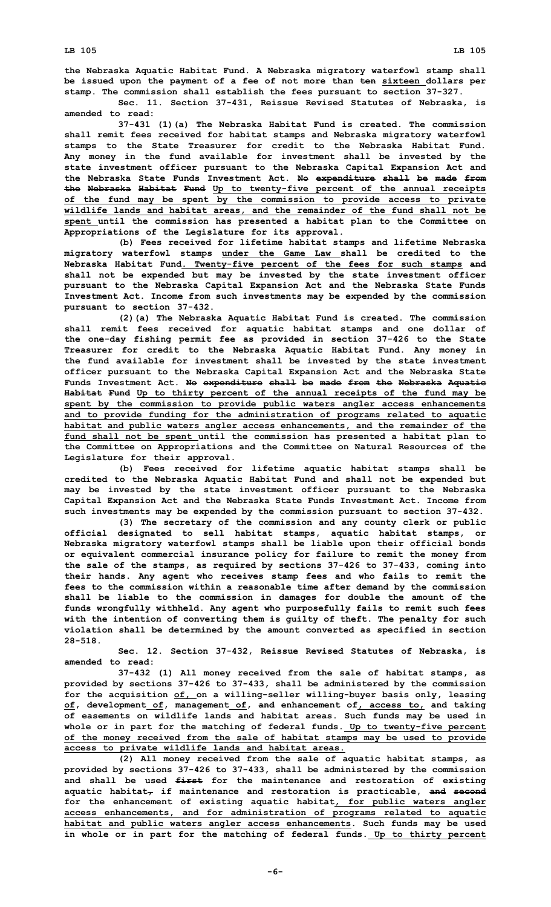**the Nebraska Aquatic Habitat Fund. A Nebraska migratory waterfowl stamp shall be issued upon the payment of <sup>a</sup> fee of not more than ten sixteen dollars per stamp. The commission shall establish the fees pursuant to section 37-327.**

**Sec. 11. Section 37-431, Reissue Revised Statutes of Nebraska, is amended to read:**

**37-431 (1)(a) The Nebraska Habitat Fund is created. The commission shall remit fees received for habitat stamps and Nebraska migratory waterfowl stamps to the State Treasurer for credit to the Nebraska Habitat Fund. Any money in the fund available for investment shall be invested by the state investment officer pursuant to the Nebraska Capital Expansion Act and the Nebraska State Funds Investment Act. No expenditure shall be made from the Nebraska Habitat Fund Up to twenty-five percent of the annual receipts of the fund may be spent by the commission to provide access to private wildlife lands and habitat areas, and the remainder of the fund shall not be spent until the commission has presented <sup>a</sup> habitat plan to the Committee on Appropriations of the Legislature for its approval.**

**(b) Fees received for lifetime habitat stamps and lifetime Nebraska migratory waterfowl stamps under the Game Law shall be credited to the Nebraska Habitat Fund. Twenty-five percent of the fees for such stamps and shall not be expended but may be invested by the state investment officer pursuant to the Nebraska Capital Expansion Act and the Nebraska State Funds Investment Act. Income from such investments may be expended by the commission pursuant to section 37-432.**

**(2)(a) The Nebraska Aquatic Habitat Fund is created. The commission shall remit fees received for aquatic habitat stamps and one dollar of the one-day fishing permit fee as provided in section 37-426 to the State Treasurer for credit to the Nebraska Aquatic Habitat Fund. Any money in the fund available for investment shall be invested by the state investment officer pursuant to the Nebraska Capital Expansion Act and the Nebraska State Funds Investment Act. No expenditure shall be made from the Nebraska Aquatic Habitat Fund Up to thirty percent of the annual receipts of the fund may be spent by the commission to provide public waters angler access enhancements and to provide funding for the administration of programs related to aquatic habitat and public waters angler access enhancements, and the remainder of the fund shall not be spent until the commission has presented <sup>a</sup> habitat plan to the Committee on Appropriations and the Committee on Natural Resources of the Legislature for their approval.**

**(b) Fees received for lifetime aquatic habitat stamps shall be credited to the Nebraska Aquatic Habitat Fund and shall not be expended but may be invested by the state investment officer pursuant to the Nebraska Capital Expansion Act and the Nebraska State Funds Investment Act. Income from such investments may be expended by the commission pursuant to section 37-432.**

**(3) The secretary of the commission and any county clerk or public official designated to sell habitat stamps, aquatic habitat stamps, or Nebraska migratory waterfowl stamps shall be liable upon their official bonds or equivalent commercial insurance policy for failure to remit the money from the sale of the stamps, as required by sections 37-426 to 37-433, coming into their hands. Any agent who receives stamp fees and who fails to remit the fees to the commission within <sup>a</sup> reasonable time after demand by the commission shall be liable to the commission in damages for double the amount of the funds wrongfully withheld. Any agent who purposefully fails to remit such fees with the intention of converting them is guilty of theft. The penalty for such violation shall be determined by the amount converted as specified in section 28-518.**

**Sec. 12. Section 37-432, Reissue Revised Statutes of Nebraska, is amended to read:**

**37-432 (1) All money received from the sale of habitat stamps, as provided by sections 37-426 to 37-433, shall be administered by the commission for the acquisition of, on <sup>a</sup> willing-seller willing-buyer basis only, leasing of, development of, management of, and enhancement of, access to, and taking of easements on wildlife lands and habitat areas. Such funds may be used in whole or in part for the matching of federal funds. Up to twenty-five percent of the money received from the sale of habitat stamps may be used to provide access to private wildlife lands and habitat areas.**

**(2) All money received from the sale of aquatic habitat stamps, as provided by sections 37-426 to 37-433, shall be administered by the commission and shall be used first for the maintenance and restoration of existing aquatic habitat, if maintenance and restoration is practicable, and second for the enhancement of existing aquatic habitat, for public waters angler access enhancements, and for administration of programs related to aquatic habitat and public waters angler access enhancements. Such funds may be used in whole or in part for the matching of federal funds. Up to thirty percent**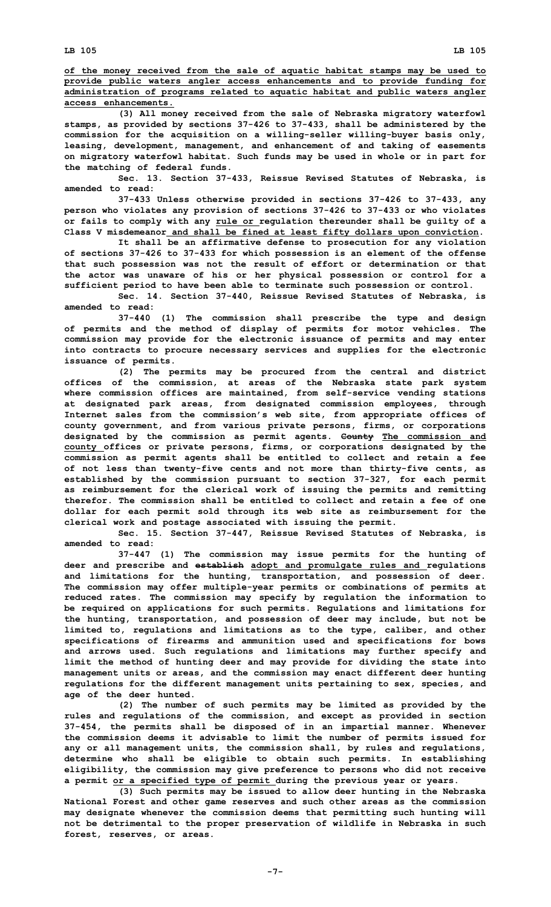**LB 105 LB 105**

**of the money received from the sale of aquatic habitat stamps may be used to provide public waters angler access enhancements and to provide funding for administration of programs related to aquatic habitat and public waters angler access enhancements.**

**(3) All money received from the sale of Nebraska migratory waterfowl stamps, as provided by sections 37-426 to 37-433, shall be administered by the commission for the acquisition on <sup>a</sup> willing-seller willing-buyer basis only, leasing, development, management, and enhancement of and taking of easements on migratory waterfowl habitat. Such funds may be used in whole or in part for the matching of federal funds.**

**Sec. 13. Section 37-433, Reissue Revised Statutes of Nebraska, is amended to read:**

**37-433 Unless otherwise provided in sections 37-426 to 37-433, any person who violates any provision of sections 37-426 to 37-433 or who violates or fails to comply with any rule or regulation thereunder shall be guilty of <sup>a</sup> Class V misdemeanor and shall be fined at least fifty dollars upon conviction.**

**It shall be an affirmative defense to prosecution for any violation of sections 37-426 to 37-433 for which possession is an element of the offense that such possession was not the result of effort or determination or that the actor was unaware of his or her physical possession or control for <sup>a</sup> sufficient period to have been able to terminate such possession or control.**

**Sec. 14. Section 37-440, Reissue Revised Statutes of Nebraska, is amended to read:**

**37-440 (1) The commission shall prescribe the type and design of permits and the method of display of permits for motor vehicles. The commission may provide for the electronic issuance of permits and may enter into contracts to procure necessary services and supplies for the electronic issuance of permits.**

**(2) The permits may be procured from the central and district offices of the commission, at areas of the Nebraska state park system where commission offices are maintained, from self-service vending stations at designated park areas, from designated commission employees, through Internet sales from the commission's web site, from appropriate offices of county government, and from various private persons, firms, or corporations designated by the commission as permit agents. County The commission and county offices or private persons, firms, or corporations designated by the commission as permit agents shall be entitled to collect and retain <sup>a</sup> fee of not less than twenty-five cents and not more than thirty-five cents, as established by the commission pursuant to section 37-327, for each permit as reimbursement for the clerical work of issuing the permits and remitting therefor. The commission shall be entitled to collect and retain a fee of one dollar for each permit sold through its web site as reimbursement for the clerical work and postage associated with issuing the permit.**

**Sec. 15. Section 37-447, Reissue Revised Statutes of Nebraska, is amended to read:**

**37-447 (1) The commission may issue permits for the hunting of deer and prescribe and establish adopt and promulgate rules and regulations and limitations for the hunting, transportation, and possession of deer. The commission may offer multiple-year permits or combinations of permits at reduced rates. The commission may specify by regulation the information to be required on applications for such permits. Regulations and limitations for the hunting, transportation, and possession of deer may include, but not be limited to, regulations and limitations as to the type, caliber, and other specifications of firearms and ammunition used and specifications for bows and arrows used. Such regulations and limitations may further specify and limit the method of hunting deer and may provide for dividing the state into management units or areas, and the commission may enact different deer hunting regulations for the different management units pertaining to sex, species, and age of the deer hunted.**

**(2) The number of such permits may be limited as provided by the rules and regulations of the commission, and except as provided in section 37-454, the permits shall be disposed of in an impartial manner. Whenever the commission deems it advisable to limit the number of permits issued for any or all management units, the commission shall, by rules and regulations, determine who shall be eligible to obtain such permits. In establishing eligibility, the commission may give preference to persons who did not receive <sup>a</sup> permit or <sup>a</sup> specified type of permit during the previous year or years.**

**(3) Such permits may be issued to allow deer hunting in the Nebraska National Forest and other game reserves and such other areas as the commission may designate whenever the commission deems that permitting such hunting will not be detrimental to the proper preservation of wildlife in Nebraska in such forest, reserves, or areas.**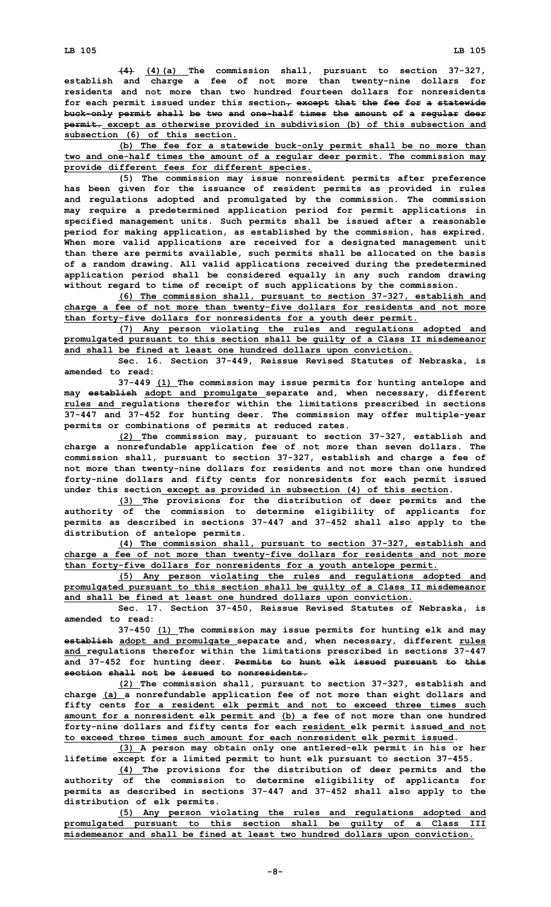**LB 105 LB 105**

**(4) (4)(a) The commission shall, pursuant to section 37-327, establish and charge <sup>a</sup> fee of not more than twenty-nine dollars for residents and not more than two hundred fourteen dollars for nonresidents for each permit issued under this section, except that the fee for <sup>a</sup> statewide buck-only permit shall be two and one-half times the amount of <sup>a</sup> regular deer permit. except as otherwise provided in subdivision (b) of this subsection and subsection (6) of this section.**

**(b) The fee for <sup>a</sup> statewide buck-only permit shall be no more than two and one-half times the amount of <sup>a</sup> regular deer permit. The commission may provide different fees for different species.**

**(5) The commission may issue nonresident permits after preference has been given for the issuance of resident permits as provided in rules and regulations adopted and promulgated by the commission. The commission may require <sup>a</sup> predetermined application period for permit applications in specified management units. Such permits shall be issued after <sup>a</sup> reasonable period for making application, as established by the commission, has expired. When more valid applications are received for <sup>a</sup> designated management unit than there are permits available, such permits shall be allocated on the basis of <sup>a</sup> random drawing. All valid applications received during the predetermined application period shall be considered equally in any such random drawing without regard to time of receipt of such applications by the commission.**

**(6) The commission shall, pursuant to section 37-327, establish and charge <sup>a</sup> fee of not more than twenty-five dollars for residents and not more than forty-five dollars for nonresidents for <sup>a</sup> youth deer permit.**

**(7) Any person violating the rules and regulations adopted and promulgated pursuant to this section shall be guilty of <sup>a</sup> Class II misdemeanor and shall be fined at least one hundred dollars upon conviction.**

**Sec. 16. Section 37-449, Reissue Revised Statutes of Nebraska, is amended to read:**

**37-449 (1) The commission may issue permits for hunting antelope and may establish adopt and promulgate separate and, when necessary, different rules and regulations therefor within the limitations prescribed in sections 37-447 and 37-452 for hunting deer. The commission may offer multiple-year permits or combinations of permits at reduced rates.**

**(2) The commission may, pursuant to section 37-327, establish and charge <sup>a</sup> nonrefundable application fee of not more than seven dollars. The commission shall, pursuant to section 37-327, establish and charge <sup>a</sup> fee of not more than twenty-nine dollars for residents and not more than one hundred forty-nine dollars and fifty cents for nonresidents for each permit issued under this section except as provided in subsection (4) of this section.**

**(3) The provisions for the distribution of deer permits and the authority of the commission to determine eligibility of applicants for permits as described in sections 37-447 and 37-452 shall also apply to the distribution of antelope permits.**

**(4) The commission shall, pursuant to section 37-327, establish and charge <sup>a</sup> fee of not more than twenty-five dollars for residents and not more than forty-five dollars for nonresidents for <sup>a</sup> youth antelope permit.**

**(5) Any person violating the rules and regulations adopted and promulgated pursuant to this section shall be guilty of <sup>a</sup> Class II misdemeanor and shall be fined at least one hundred dollars upon conviction.**

**Sec. 17. Section 37-450, Reissue Revised Statutes of Nebraska, is amended to read:**

**37-450 (1) The commission may issue permits for hunting elk and may establish adopt and promulgate separate and, when necessary, different rules and regulations therefor within the limitations prescribed in sections 37-447 and 37-452 for hunting deer. Permits to hunt elk issued pursuant to this section shall not be issued to nonresidents.**

**(2) The commission shall, pursuant to section 37-327, establish and charge (a) <sup>a</sup> nonrefundable application fee of not more than eight dollars and fifty cents for <sup>a</sup> resident elk permit and not to exceed three times such amount for <sup>a</sup> nonresident elk permit and (b) <sup>a</sup> fee of not more than one hundred forty-nine dollars and fifty cents for each resident elk permit issued and not to exceed three times such amount for each nonresident elk permit issued.**

**(3) <sup>A</sup> person may obtain only one antlered-elk permit in his or her lifetime except for <sup>a</sup> limited permit to hunt elk pursuant to section 37-455.**

**(4) The provisions for the distribution of deer permits and the authority of the commission to determine eligibility of applicants for permits as described in sections 37-447 and 37-452 shall also apply to the distribution of elk permits.**

**(5) Any person violating the rules and regulations adopted and promulgated pursuant to this section shall be guilty of <sup>a</sup> Class III misdemeanor and shall be fined at least two hundred dollars upon conviction.**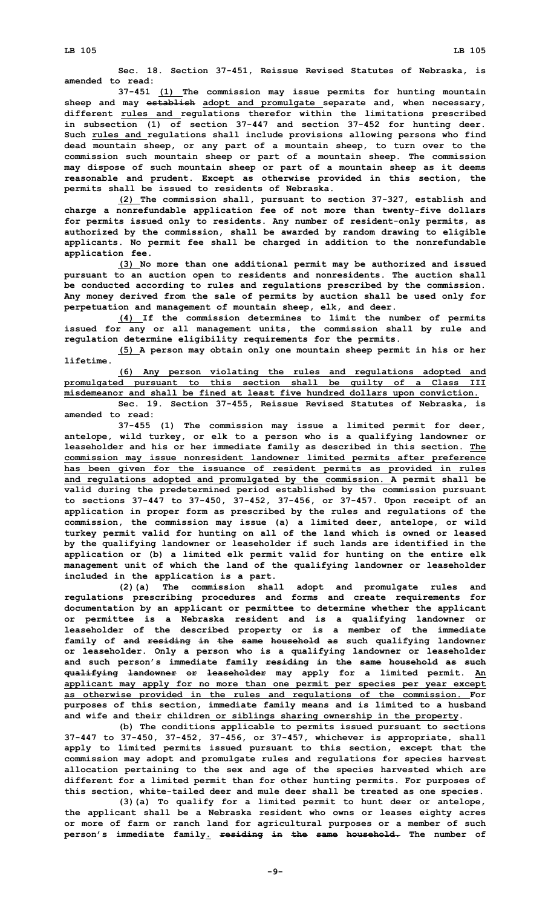**Sec. 18. Section 37-451, Reissue Revised Statutes of Nebraska, is amended to read:**

**37-451 (1) The commission may issue permits for hunting mountain sheep and may establish adopt and promulgate separate and, when necessary, different rules and regulations therefor within the limitations prescribed in subsection (1) of section 37-447 and section 37-452 for hunting deer. Such rules and regulations shall include provisions allowing persons who find dead mountain sheep, or any part of <sup>a</sup> mountain sheep, to turn over to the commission such mountain sheep or part of <sup>a</sup> mountain sheep. The commission may dispose of such mountain sheep or part of <sup>a</sup> mountain sheep as it deems reasonable and prudent. Except as otherwise provided in this section, the permits shall be issued to residents of Nebraska.**

**(2) The commission shall, pursuant to section 37-327, establish and charge <sup>a</sup> nonrefundable application fee of not more than twenty-five dollars for permits issued only to residents. Any number of resident-only permits, as authorized by the commission, shall be awarded by random drawing to eligible applicants. No permit fee shall be charged in addition to the nonrefundable application fee.**

**(3) No more than one additional permit may be authorized and issued pursuant to an auction open to residents and nonresidents. The auction shall be conducted according to rules and regulations prescribed by the commission. Any money derived from the sale of permits by auction shall be used only for perpetuation and management of mountain sheep, elk, and deer.**

**(4) If the commission determines to limit the number of permits issued for any or all management units, the commission shall by rule and regulation determine eligibility requirements for the permits.**

**(5) <sup>A</sup> person may obtain only one mountain sheep permit in his or her lifetime.**

**(6) Any person violating the rules and regulations adopted and promulgated pursuant to this section shall be guilty of <sup>a</sup> Class III misdemeanor and shall be fined at least five hundred dollars upon conviction. Sec. 19. Section 37-455, Reissue Revised Statutes of Nebraska, is amended to read:**

**37-455 (1) The commission may issue <sup>a</sup> limited permit for deer, antelope, wild turkey, or elk to <sup>a</sup> person who is <sup>a</sup> qualifying landowner or leaseholder and his or her immediate family as described in this section. The commission may issue nonresident landowner limited permits after preference has been given for the issuance of resident permits as provided in rules and regulations adopted and promulgated by the commission. A permit shall be valid during the predetermined period established by the commission pursuant to sections 37-447 to 37-450, 37-452, 37-456, or 37-457. Upon receipt of an application in proper form as prescribed by the rules and regulations of the commission, the commission may issue (a) <sup>a</sup> limited deer, antelope, or wild turkey permit valid for hunting on all of the land which is owned or leased by the qualifying landowner or leaseholder if such lands are identified in the application or (b) <sup>a</sup> limited elk permit valid for hunting on the entire elk management unit of which the land of the qualifying landowner or leaseholder included in the application is <sup>a</sup> part.**

**(2)(a) The commission shall adopt and promulgate rules and regulations prescribing procedures and forms and create requirements for documentation by an applicant or permittee to determine whether the applicant or permittee is <sup>a</sup> Nebraska resident and is <sup>a</sup> qualifying landowner or leaseholder of the described property or is <sup>a</sup> member of the immediate family of and residing in the same household as such qualifying landowner or leaseholder. Only <sup>a</sup> person who is <sup>a</sup> qualifying landowner or leaseholder and such person's immediate family residing in the same household as such qualifying landowner or leaseholder may apply for <sup>a</sup> limited permit. An applicant may apply for no more than one permit per species per year except as otherwise provided in the rules and regulations of the commission. For purposes of this section, immediate family means and is limited to <sup>a</sup> husband and wife and their children or siblings sharing ownership in the property.**

**(b) The conditions applicable to permits issued pursuant to sections 37-447 to 37-450, 37-452, 37-456, or 37-457, whichever is appropriate, shall apply to limited permits issued pursuant to this section, except that the commission may adopt and promulgate rules and regulations for species harvest allocation pertaining to the sex and age of the species harvested which are different for <sup>a</sup> limited permit than for other hunting permits. For purposes of this section, white-tailed deer and mule deer shall be treated as one species.**

**(3)(a) To qualify for <sup>a</sup> limited permit to hunt deer or antelope, the applicant shall be <sup>a</sup> Nebraska resident who owns or leases eighty acres or more of farm or ranch land for agricultural purposes or <sup>a</sup> member of such person's immediate family. residing in the same household. The number of**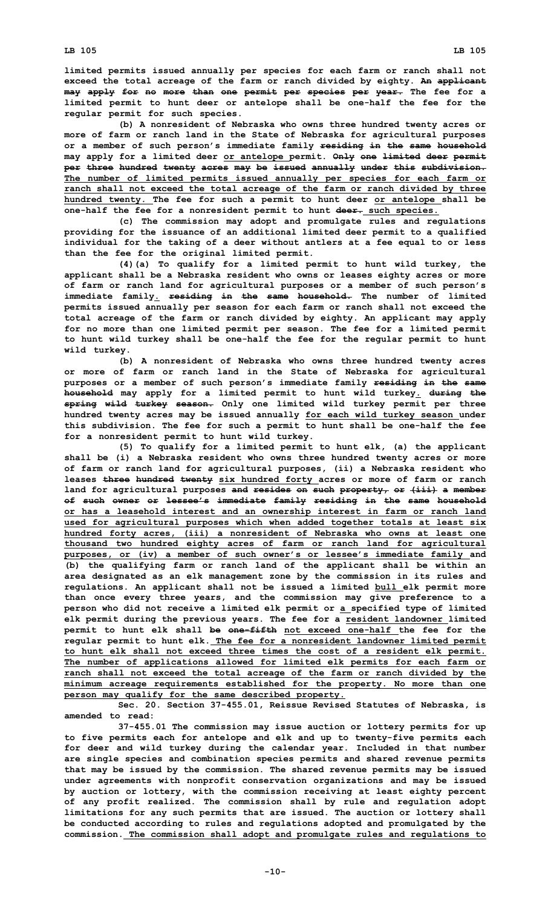**limited permits issued annually per species for each farm or ranch shall not exceed the total acreage of the farm or ranch divided by eighty. An applicant may apply for no more than one permit per species per year. The fee for <sup>a</sup> limited permit to hunt deer or antelope shall be one-half the fee for the regular permit for such species.**

**(b) <sup>A</sup> nonresident of Nebraska who owns three hundred twenty acres or more of farm or ranch land in the State of Nebraska for agricultural purposes or <sup>a</sup> member of such person's immediate family residing in the same household may apply for <sup>a</sup> limited deer or antelope permit. Only one limited deer permit per three hundred twenty acres may be issued annually under this subdivision. The number of limited permits issued annually per species for each farm or ranch shall not exceed the total acreage of the farm or ranch divided by three hundred twenty. The fee for such <sup>a</sup> permit to hunt deer or antelope shall be one-half the fee for <sup>a</sup> nonresident permit to hunt deer. such species.**

**(c) The commission may adopt and promulgate rules and regulations providing for the issuance of an additional limited deer permit to <sup>a</sup> qualified individual for the taking of <sup>a</sup> deer without antlers at <sup>a</sup> fee equal to or less than the fee for the original limited permit.**

**(4)(a) To qualify for <sup>a</sup> limited permit to hunt wild turkey, the applicant shall be <sup>a</sup> Nebraska resident who owns or leases eighty acres or more of farm or ranch land for agricultural purposes or <sup>a</sup> member of such person's immediate family. residing in the same household. The number of limited permits issued annually per season for each farm or ranch shall not exceed the total acreage of the farm or ranch divided by eighty. An applicant may apply for no more than one limited permit per season. The fee for <sup>a</sup> limited permit to hunt wild turkey shall be one-half the fee for the regular permit to hunt wild turkey.**

**(b) <sup>A</sup> nonresident of Nebraska who owns three hundred twenty acres or more of farm or ranch land in the State of Nebraska for agricultural purposes or <sup>a</sup> member of such person's immediate family residing in the same household may apply for <sup>a</sup> limited permit to hunt wild turkey. during the spring wild turkey season. Only one limited wild turkey permit per three hundred twenty acres may be issued annually for each wild turkey season under this subdivision. The fee for such <sup>a</sup> permit to hunt shall be one-half the fee for <sup>a</sup> nonresident permit to hunt wild turkey.**

**(5) To qualify for <sup>a</sup> limited permit to hunt elk, (a) the applicant shall be (i) <sup>a</sup> Nebraska resident who owns three hundred twenty acres or more of farm or ranch land for agricultural purposes, (ii) <sup>a</sup> Nebraska resident who leases three hundred twenty six hundred forty acres or more of farm or ranch land for agricultural purposes and resides on such property, or (iii) <sup>a</sup> member of such owner or lessee's immediate family residing in the same household or has <sup>a</sup> leasehold interest and an ownership interest in farm or ranch land used for agricultural purposes which when added together totals at least six hundred forty acres, (iii) <sup>a</sup> nonresident of Nebraska who owns at least one thousand two hundred eighty acres of farm or ranch land for agricultural purposes, or (iv) <sup>a</sup> member of such owner's or lessee's immediate family and (b) the qualifying farm or ranch land of the applicant shall be within an area designated as an elk management zone by the commission in its rules and regulations. An applicant shall not be issued <sup>a</sup> limited bull elk permit more than once every three years, and the commission may give preference to <sup>a</sup> person who did not receive <sup>a</sup> limited elk permit or <sup>a</sup> specified type of limited elk permit during the previous years. The fee for <sup>a</sup> resident landowner limited permit to hunt elk shall be one-fifth not exceed one-half the fee for the regular permit to hunt elk. The fee for <sup>a</sup> nonresident landowner limited permit to hunt elk shall not exceed three times the cost of <sup>a</sup> resident elk permit. The number of applications allowed for limited elk permits for each farm or ranch shall not exceed the total acreage of the farm or ranch divided by the minimum acreage requirements established for the property. No more than one person may qualify for the same described property.**

**Sec. 20. Section 37-455.01, Reissue Revised Statutes of Nebraska, is amended to read:**

**37-455.01 The commission may issue auction or lottery permits for up to five permits each for antelope and elk and up to twenty-five permits each for deer and wild turkey during the calendar year. Included in that number are single species and combination species permits and shared revenue permits that may be issued by the commission. The shared revenue permits may be issued under agreements with nonprofit conservation organizations and may be issued by auction or lottery, with the commission receiving at least eighty percent of any profit realized. The commission shall by rule and regulation adopt limitations for any such permits that are issued. The auction or lottery shall be conducted according to rules and regulations adopted and promulgated by the commission. The commission shall adopt and promulgate rules and regulations to**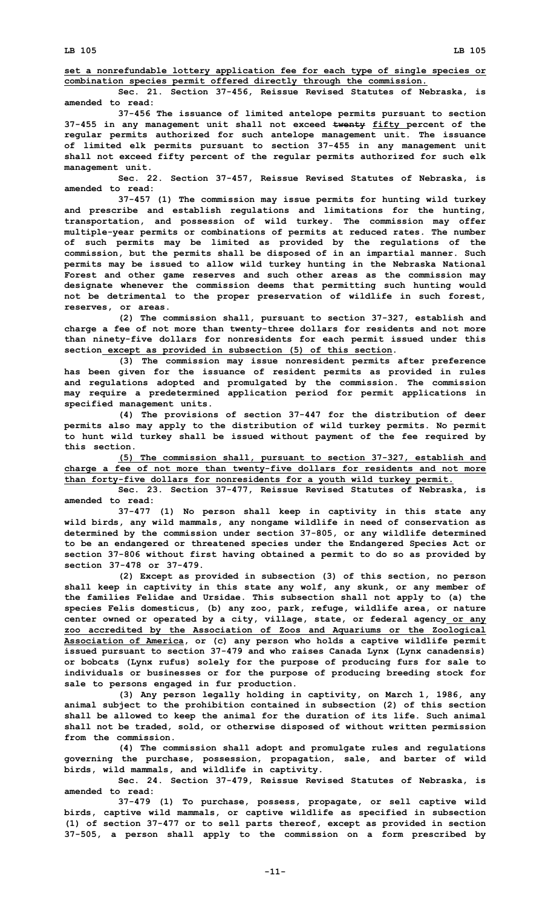**set <sup>a</sup> nonrefundable lottery application fee for each type of single species or combination species permit offered directly through the commission.**

**Sec. 21. Section 37-456, Reissue Revised Statutes of Nebraska, is amended to read:**

**37-456 The issuance of limited antelope permits pursuant to section 37-455 in any management unit shall not exceed twenty fifty percent of the regular permits authorized for such antelope management unit. The issuance of limited elk permits pursuant to section 37-455 in any management unit shall not exceed fifty percent of the regular permits authorized for such elk management unit.**

**Sec. 22. Section 37-457, Reissue Revised Statutes of Nebraska, is amended to read:**

**37-457 (1) The commission may issue permits for hunting wild turkey and prescribe and establish regulations and limitations for the hunting, transportation, and possession of wild turkey. The commission may offer multiple-year permits or combinations of permits at reduced rates. The number of such permits may be limited as provided by the regulations of the commission, but the permits shall be disposed of in an impartial manner. Such permits may be issued to allow wild turkey hunting in the Nebraska National Forest and other game reserves and such other areas as the commission may designate whenever the commission deems that permitting such hunting would not be detrimental to the proper preservation of wildlife in such forest, reserves, or areas.**

**(2) The commission shall, pursuant to section 37-327, establish and charge <sup>a</sup> fee of not more than twenty-three dollars for residents and not more than ninety-five dollars for nonresidents for each permit issued under this section except as provided in subsection (5) of this section.**

**(3) The commission may issue nonresident permits after preference has been given for the issuance of resident permits as provided in rules and regulations adopted and promulgated by the commission. The commission may require <sup>a</sup> predetermined application period for permit applications in specified management units.**

**(4) The provisions of section 37-447 for the distribution of deer permits also may apply to the distribution of wild turkey permits. No permit to hunt wild turkey shall be issued without payment of the fee required by this section.**

**(5) The commission shall, pursuant to section 37-327, establish and charge <sup>a</sup> fee of not more than twenty-five dollars for residents and not more than forty-five dollars for nonresidents for <sup>a</sup> youth wild turkey permit.**

**Sec. 23. Section 37-477, Reissue Revised Statutes of Nebraska, is amended to read:**

**37-477 (1) No person shall keep in captivity in this state any wild birds, any wild mammals, any nongame wildlife in need of conservation as determined by the commission under section 37-805, or any wildlife determined to be an endangered or threatened species under the Endangered Species Act or section 37-806 without first having obtained <sup>a</sup> permit to do so as provided by section 37-478 or 37-479.**

**(2) Except as provided in subsection (3) of this section, no person shall keep in captivity in this state any wolf, any skunk, or any member of the families Felidae and Ursidae. This subsection shall not apply to (a) the species Felis domesticus, (b) any zoo, park, refuge, wildlife area, or nature center owned or operated by <sup>a</sup> city, village, state, or federal agency or any zoo accredited by the Association of Zoos and Aquariums or the Zoological Association of America, or (c) any person who holds <sup>a</sup> captive wildlife permit issued pursuant to section 37-479 and who raises Canada Lynx (Lynx canadensis) or bobcats (Lynx rufus) solely for the purpose of producing furs for sale to individuals or businesses or for the purpose of producing breeding stock for sale to persons engaged in fur production.**

**(3) Any person legally holding in captivity, on March 1, 1986, any animal subject to the prohibition contained in subsection (2) of this section shall be allowed to keep the animal for the duration of its life. Such animal shall not be traded, sold, or otherwise disposed of without written permission from the commission.**

**(4) The commission shall adopt and promulgate rules and regulations governing the purchase, possession, propagation, sale, and barter of wild birds, wild mammals, and wildlife in captivity.**

**Sec. 24. Section 37-479, Reissue Revised Statutes of Nebraska, is amended to read:**

**37-479 (1) To purchase, possess, propagate, or sell captive wild birds, captive wild mammals, or captive wildlife as specified in subsection (1) of section 37-477 or to sell parts thereof, except as provided in section 37-505, <sup>a</sup> person shall apply to the commission on <sup>a</sup> form prescribed by**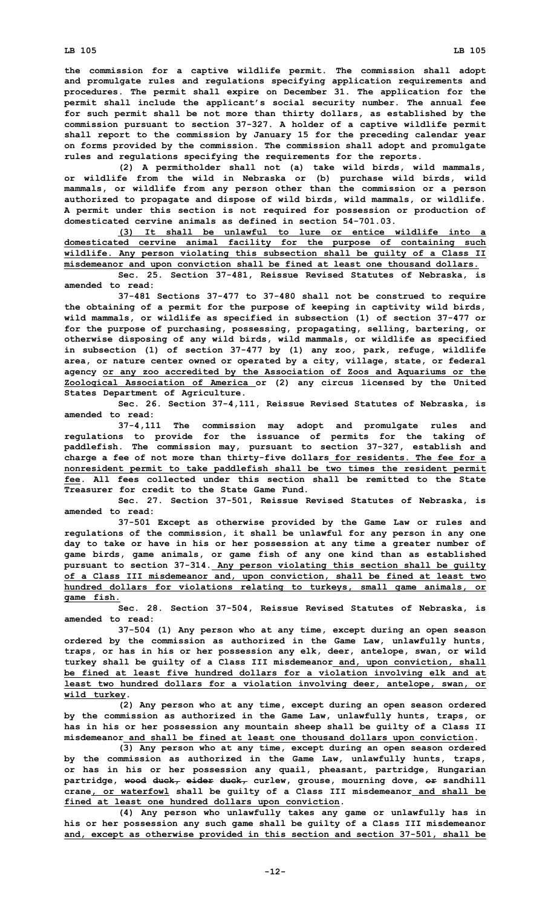**the commission for <sup>a</sup> captive wildlife permit. The commission shall adopt and promulgate rules and regulations specifying application requirements and procedures. The permit shall expire on December 31. The application for the permit shall include the applicant's social security number. The annual fee for such permit shall be not more than thirty dollars, as established by the commission pursuant to section 37-327. <sup>A</sup> holder of <sup>a</sup> captive wildlife permit shall report to the commission by January 15 for the preceding calendar year on forms provided by the commission. The commission shall adopt and promulgate rules and regulations specifying the requirements for the reports.**

**(2) <sup>A</sup> permitholder shall not (a) take wild birds, wild mammals, or wildlife from the wild in Nebraska or (b) purchase wild birds, wild mammals, or wildlife from any person other than the commission or <sup>a</sup> person authorized to propagate and dispose of wild birds, wild mammals, or wildlife. A permit under this section is not required for possession or production of domesticated cervine animals as defined in section 54-701.03.**

**(3) It shall be unlawful to lure or entice wildlife into <sup>a</sup> domesticated cervine animal facility for the purpose of containing such wildlife. Any person violating this subsection shall be guilty of <sup>a</sup> Class II misdemeanor and upon conviction shall be fined at least one thousand dollars.**

**Sec. 25. Section 37-481, Reissue Revised Statutes of Nebraska, is amended to read:**

**37-481 Sections 37-477 to 37-480 shall not be construed to require the obtaining of <sup>a</sup> permit for the purpose of keeping in captivity wild birds, wild mammals, or wildlife as specified in subsection (1) of section 37-477 or for the purpose of purchasing, possessing, propagating, selling, bartering, or otherwise disposing of any wild birds, wild mammals, or wildlife as specified in subsection (1) of section 37-477 by (1) any zoo, park, refuge, wildlife area, or nature center owned or operated by <sup>a</sup> city, village, state, or federal agency or any zoo accredited by the Association of Zoos and Aquariums or the Zoological Association of America or (2) any circus licensed by the United States Department of Agriculture.**

**Sec. 26. Section 37-4,111, Reissue Revised Statutes of Nebraska, is amended to read:**

**37-4,111 The commission may adopt and promulgate rules and regulations to provide for the issuance of permits for the taking of paddlefish. The commission may, pursuant to section 37-327, establish and charge <sup>a</sup> fee of not more than thirty-five dollars for residents. The fee for <sup>a</sup> nonresident permit to take paddlefish shall be two times the resident permit fee. All fees collected under this section shall be remitted to the State Treasurer for credit to the State Game Fund.**

**Sec. 27. Section 37-501, Reissue Revised Statutes of Nebraska, is amended to read:**

**37-501 Except as otherwise provided by the Game Law or rules and regulations of the commission, it shall be unlawful for any person in any one day to take or have in his or her possession at any time <sup>a</sup> greater number of game birds, game animals, or game fish of any one kind than as established pursuant to section 37-314. Any person violating this section shall be guilty of <sup>a</sup> Class III misdemeanor and, upon conviction, shall be fined at least two hundred dollars for violations relating to turkeys, small game animals, or game fish.**

**Sec. 28. Section 37-504, Reissue Revised Statutes of Nebraska, is amended to read:**

**37-504 (1) Any person who at any time, except during an open season ordered by the commission as authorized in the Game Law, unlawfully hunts, traps, or has in his or her possession any elk, deer, antelope, swan, or wild turkey shall be guilty of <sup>a</sup> Class III misdemeanor and, upon conviction, shall be fined at least five hundred dollars for <sup>a</sup> violation involving elk and at least two hundred dollars for <sup>a</sup> violation involving deer, antelope, swan, or wild turkey.**

**(2) Any person who at any time, except during an open season ordered by the commission as authorized in the Game Law, unlawfully hunts, traps, or has in his or her possession any mountain sheep shall be guilty of <sup>a</sup> Class II misdemeanor and shall be fined at least one thousand dollars upon conviction.**

**(3) Any person who at any time, except during an open season ordered by the commission as authorized in the Game Law, unlawfully hunts, traps, or has in his or her possession any quail, pheasant, partridge, Hungarian partridge, wood duck, eider duck, curlew, grouse, mourning dove, or sandhill crane, or waterfowl shall be guilty of <sup>a</sup> Class III misdemeanor and shall be fined at least one hundred dollars upon conviction.**

**(4) Any person who unlawfully takes any game or unlawfully has in his or her possession any such game shall be guilty of <sup>a</sup> Class III misdemeanor and, except as otherwise provided in this section and section 37-501, shall be**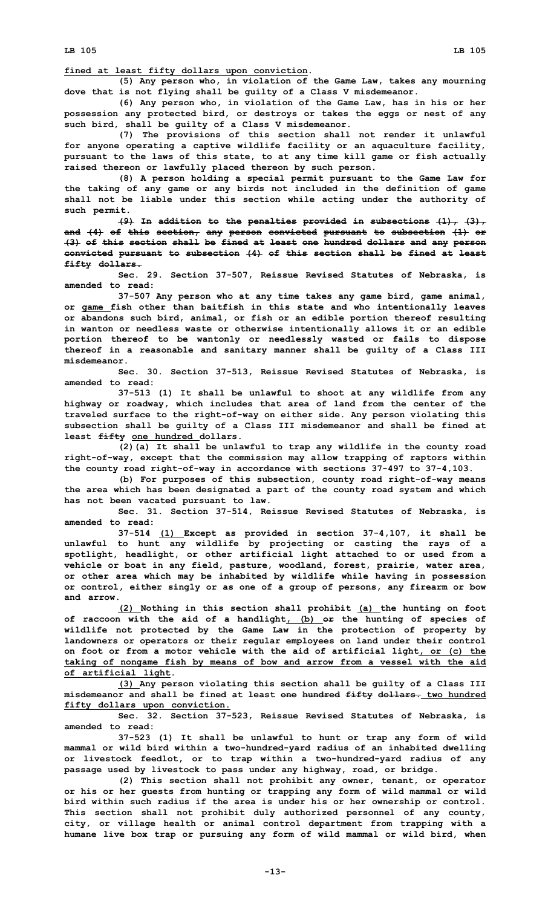**(5) Any person who, in violation of the Game Law, takes any mourning dove that is not flying shall be guilty of <sup>a</sup> Class V misdemeanor.**

**(6) Any person who, in violation of the Game Law, has in his or her possession any protected bird, or destroys or takes the eggs or nest of any such bird, shall be guilty of <sup>a</sup> Class V misdemeanor.**

**(7) The provisions of this section shall not render it unlawful for anyone operating <sup>a</sup> captive wildlife facility or an aquaculture facility, pursuant to the laws of this state, to at any time kill game or fish actually raised thereon or lawfully placed thereon by such person.**

**(8) <sup>A</sup> person holding <sup>a</sup> special permit pursuant to the Game Law for the taking of any game or any birds not included in the definition of game shall not be liable under this section while acting under the authority of such permit.**

**(9) In addition to the penalties provided in subsections (1), (3), and (4) of this section, any person convicted pursuant to subsection (1) or (3) of this section shall be fined at least one hundred dollars and any person convicted pursuant to subsection (4) of this section shall be fined at least fifty dollars.**

**Sec. 29. Section 37-507, Reissue Revised Statutes of Nebraska, is amended to read:**

**37-507 Any person who at any time takes any game bird, game animal, or game fish other than baitfish in this state and who intentionally leaves or abandons such bird, animal, or fish or an edible portion thereof resulting in wanton or needless waste or otherwise intentionally allows it or an edible portion thereof to be wantonly or needlessly wasted or fails to dispose thereof in <sup>a</sup> reasonable and sanitary manner shall be guilty of <sup>a</sup> Class III misdemeanor.**

**Sec. 30. Section 37-513, Reissue Revised Statutes of Nebraska, is amended to read:**

**37-513 (1) It shall be unlawful to shoot at any wildlife from any highway or roadway, which includes that area of land from the center of the traveled surface to the right-of-way on either side. Any person violating this subsection shall be guilty of <sup>a</sup> Class III misdemeanor and shall be fined at least fifty one hundred dollars.**

**(2)(a) It shall be unlawful to trap any wildlife in the county road right-of-way, except that the commission may allow trapping of raptors within the county road right-of-way in accordance with sections 37-497 to 37-4,103.**

**(b) For purposes of this subsection, county road right-of-way means the area which has been designated <sup>a</sup> part of the county road system and which has not been vacated pursuant to law.**

**Sec. 31. Section 37-514, Reissue Revised Statutes of Nebraska, is amended to read:**

**37-514 (1) Except as provided in section 37-4,107, it shall be unlawful to hunt any wildlife by projecting or casting the rays of <sup>a</sup> spotlight, headlight, or other artificial light attached to or used from <sup>a</sup> vehicle or boat in any field, pasture, woodland, forest, prairie, water area, or other area which may be inhabited by wildlife while having in possession or control, either singly or as one of <sup>a</sup> group of persons, any firearm or bow and arrow.**

**(2) Nothing in this section shall prohibit (a) the hunting on foot of raccoon with the aid of <sup>a</sup> handlight, (b) or the hunting of species of wildlife not protected by the Game Law in the protection of property by landowners or operators or their regular employees on land under their control on foot or from <sup>a</sup> motor vehicle with the aid of artificial light, or (c) the taking of nongame fish by means of bow and arrow from <sup>a</sup> vessel with the aid of artificial light.**

**(3) Any person violating this section shall be guilty of <sup>a</sup> Class III misdemeanor and shall be fined at least one hundred fifty dollars. two hundred fifty dollars upon conviction.**

**Sec. 32. Section 37-523, Reissue Revised Statutes of Nebraska, is amended to read:**

**37-523 (1) It shall be unlawful to hunt or trap any form of wild mammal or wild bird within <sup>a</sup> two-hundred-yard radius of an inhabited dwelling or livestock feedlot, or to trap within <sup>a</sup> two-hundred-yard radius of any passage used by livestock to pass under any highway, road, or bridge.**

**(2) This section shall not prohibit any owner, tenant, or operator or his or her guests from hunting or trapping any form of wild mammal or wild bird within such radius if the area is under his or her ownership or control. This section shall not prohibit duly authorized personnel of any county, city, or village health or animal control department from trapping with <sup>a</sup> humane live box trap or pursuing any form of wild mammal or wild bird, when**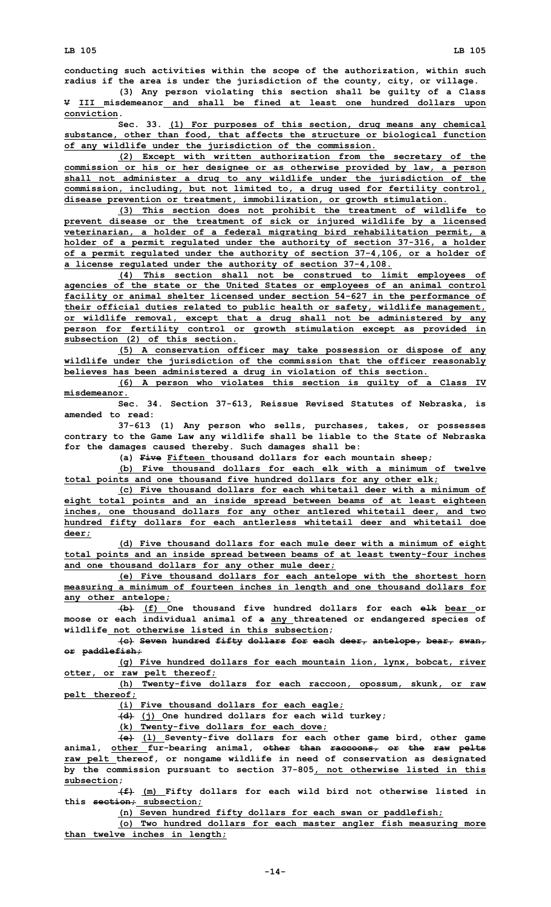**conducting such activities within the scope of the authorization, within such radius if the area is under the jurisdiction of the county, city, or village.**

**(3) Any person violating this section shall be guilty of <sup>a</sup> Class V III misdemeanor and shall be fined at least one hundred dollars upon conviction.**

**Sec. 33. (1) For purposes of this section, drug means any chemical substance, other than food, that affects the structure or biological function of any wildlife under the jurisdiction of the commission.**

**(2) Except with written authorization from the secretary of the commission or his or her designee or as otherwise provided by law, <sup>a</sup> person shall not administer <sup>a</sup> drug to any wildlife under the jurisdiction of the commission, including, but not limited to, <sup>a</sup> drug used for fertility control, disease prevention or treatment, immobilization, or growth stimulation.**

**(3) This section does not prohibit the treatment of wildlife to prevent disease or the treatment of sick or injured wildlife by <sup>a</sup> licensed veterinarian, <sup>a</sup> holder of <sup>a</sup> federal migrating bird rehabilitation permit, <sup>a</sup> holder of <sup>a</sup> permit regulated under the authority of section 37-316, <sup>a</sup> holder of <sup>a</sup> permit regulated under the authority of section 37-4,106, or <sup>a</sup> holder of <sup>a</sup> license regulated under the authority of section 37-4,108.**

**(4) This section shall not be construed to limit employees of agencies of the state or the United States or employees of an animal control facility or animal shelter licensed under section 54-627 in the performance of their official duties related to public health or safety, wildlife management, or wildlife removal, except that <sup>a</sup> drug shall not be administered by any person for fertility control or growth stimulation except as provided in subsection (2) of this section.**

**(5) <sup>A</sup> conservation officer may take possession or dispose of any wildlife under the jurisdiction of the commission that the officer reasonably believes has been administered <sup>a</sup> drug in violation of this section.**

**(6) <sup>A</sup> person who violates this section is guilty of <sup>a</sup> Class IV misdemeanor.**

**Sec. 34. Section 37-613, Reissue Revised Statutes of Nebraska, is amended to read:**

**37-613 (1) Any person who sells, purchases, takes, or possesses contrary to the Game Law any wildlife shall be liable to the State of Nebraska for the damages caused thereby. Such damages shall be:**

**(a) Five Fifteen thousand dollars for each mountain sheep;**

**(b) Five thousand dollars for each elk with <sup>a</sup> minimum of twelve total points and one thousand five hundred dollars for any other elk;**

**(c) Five thousand dollars for each whitetail deer with <sup>a</sup> minimum of eight total points and an inside spread between beams of at least eighteen inches, one thousand dollars for any other antlered whitetail deer, and two hundred fifty dollars for each antlerless whitetail deer and whitetail doe deer;**

**(d) Five thousand dollars for each mule deer with <sup>a</sup> minimum of eight total points and an inside spread between beams of at least twenty-four inches and one thousand dollars for any other mule deer;**

**(e) Five thousand dollars for each antelope with the shortest horn measuring <sup>a</sup> minimum of fourteen inches in length and one thousand dollars for any other antelope;**

**(b) (f) One thousand five hundred dollars for each elk bear or moose or each individual animal of <sup>a</sup> any threatened or endangered species of wildlife not otherwise listed in this subsection;**

**(c) Seven hundred fifty dollars for each deer, antelope, bear, swan, or paddlefish;**

**(g) Five hundred dollars for each mountain lion, lynx, bobcat, river otter, or raw pelt thereof;**

**(h) Twenty-five dollars for each raccoon, opossum, skunk, or raw pelt thereof;**

**(i) Five thousand dollars for each eagle;**

**(d) (j) One hundred dollars for each wild turkey;**

**(k) Twenty-five dollars for each dove;**

**(e) (l) Seventy-five dollars for each other game bird, other game animal, other fur-bearing animal, other than raccoons, or the raw pelts raw pelt thereof, or nongame wildlife in need of conservation as designated by the commission pursuant to section 37-805, not otherwise listed in this subsection;**

**(f) (m) Fifty dollars for each wild bird not otherwise listed in this section; subsection;**

**(n) Seven hundred fifty dollars for each swan or paddlefish;**

**(o) Two hundred dollars for each master angler fish measuring more than twelve inches in length;**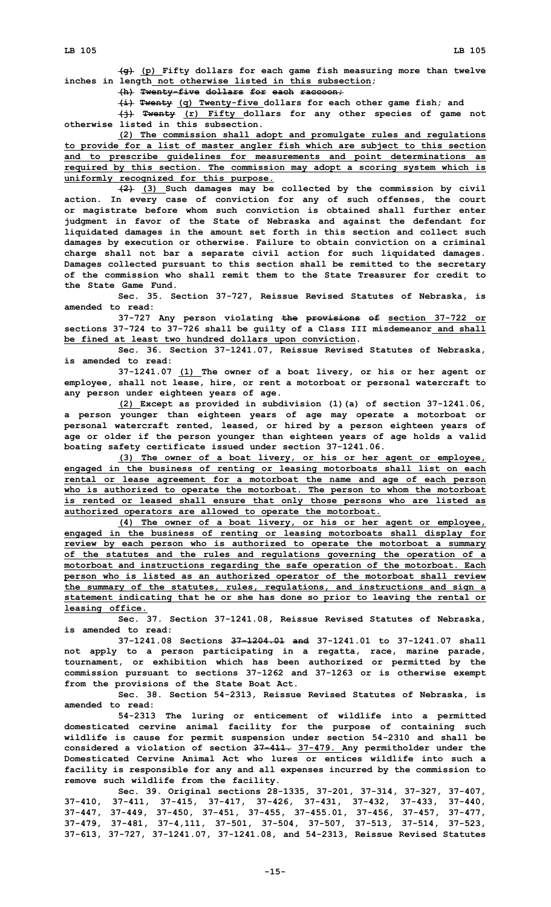**(g) (p) Fifty dollars for each game fish measuring more than twelve inches in length not otherwise listed in this subsection;**

**(h) Twenty-five dollars for each raccoon;**

**(i) Twenty (q) Twenty-five dollars for each other game fish; and**

**(j) Twenty (r) Fifty dollars for any other species of game not otherwise listed in this subsection.**

**(2) The commission shall adopt and promulgate rules and regulations to provide for <sup>a</sup> list of master angler fish which are subject to this section and to prescribe guidelines for measurements and point determinations as required by this section. The commission may adopt <sup>a</sup> scoring system which is uniformly recognized for this purpose.**

**(2) (3) Such damages may be collected by the commission by civil action. In every case of conviction for any of such offenses, the court or magistrate before whom such conviction is obtained shall further enter judgment in favor of the State of Nebraska and against the defendant for liquidated damages in the amount set forth in this section and collect such damages by execution or otherwise. Failure to obtain conviction on <sup>a</sup> criminal charge shall not bar <sup>a</sup> separate civil action for such liquidated damages. Damages collected pursuant to this section shall be remitted to the secretary of the commission who shall remit them to the State Treasurer for credit to the State Game Fund.**

**Sec. 35. Section 37-727, Reissue Revised Statutes of Nebraska, is amended to read:**

**37-727 Any person violating the provisions of section 37-722 or sections 37-724 to 37-726 shall be guilty of <sup>a</sup> Class III misdemeanor and shall be fined at least two hundred dollars upon conviction.**

**Sec. 36. Section 37-1241.07, Reissue Revised Statutes of Nebraska, is amended to read:**

**37-1241.07 (1) The owner of <sup>a</sup> boat livery, or his or her agent or employee, shall not lease, hire, or rent <sup>a</sup> motorboat or personal watercraft to any person under eighteen years of age.**

**(2) Except as provided in subdivision (1)(a) of section 37-1241.06, <sup>a</sup> person younger than eighteen years of age may operate <sup>a</sup> motorboat or personal watercraft rented, leased, or hired by <sup>a</sup> person eighteen years of age or older if the person younger than eighteen years of age holds <sup>a</sup> valid boating safety certificate issued under section 37-1241.06.**

**(3) The owner of <sup>a</sup> boat livery, or his or her agent or employee, engaged in the business of renting or leasing motorboats shall list on each rental or lease agreement for <sup>a</sup> motorboat the name and age of each person who is authorized to operate the motorboat. The person to whom the motorboat is rented or leased shall ensure that only those persons who are listed as authorized operators are allowed to operate the motorboat.**

**(4) The owner of <sup>a</sup> boat livery, or his or her agent or employee, engaged in the business of renting or leasing motorboats shall display for review by each person who is authorized to operate the motorboat <sup>a</sup> summary of the statutes and the rules and regulations governing the operation of <sup>a</sup> motorboat and instructions regarding the safe operation of the motorboat. Each person who is listed as an authorized operator of the motorboat shall review the summary of the statutes, rules, regulations, and instructions and sign <sup>a</sup> statement indicating that he or she has done so prior to leaving the rental or leasing office.**

**Sec. 37. Section 37-1241.08, Reissue Revised Statutes of Nebraska, is amended to read:**

**37-1241.08 Sections 37-1204.01 and 37-1241.01 to 37-1241.07 shall not apply to <sup>a</sup> person participating in <sup>a</sup> regatta, race, marine parade, tournament, or exhibition which has been authorized or permitted by the commission pursuant to sections 37-1262 and 37-1263 or is otherwise exempt from the provisions of the State Boat Act.**

**Sec. 38. Section 54-2313, Reissue Revised Statutes of Nebraska, is amended to read:**

**54-2313 The luring or enticement of wildlife into <sup>a</sup> permitted domesticated cervine animal facility for the purpose of containing such wildlife is cause for permit suspension under section 54-2310 and shall be considered <sup>a</sup> violation of section 37-411. 37-479. Any permitholder under the Domesticated Cervine Animal Act who lures or entices wildlife into such a facility is responsible for any and all expenses incurred by the commission to remove such wildlife from the facility.**

**Sec. 39. Original sections 28-1335, 37-201, 37-314, 37-327, 37-407, 37-410, 37-411, 37-415, 37-417, 37-426, 37-431, 37-432, 37-433, 37-440, 37-447, 37-449, 37-450, 37-451, 37-455, 37-455.01, 37-456, 37-457, 37-477, 37-479, 37-481, 37-4,111, 37-501, 37-504, 37-507, 37-513, 37-514, 37-523, 37-613, 37-727, 37-1241.07, 37-1241.08, and 54-2313, Reissue Revised Statutes**